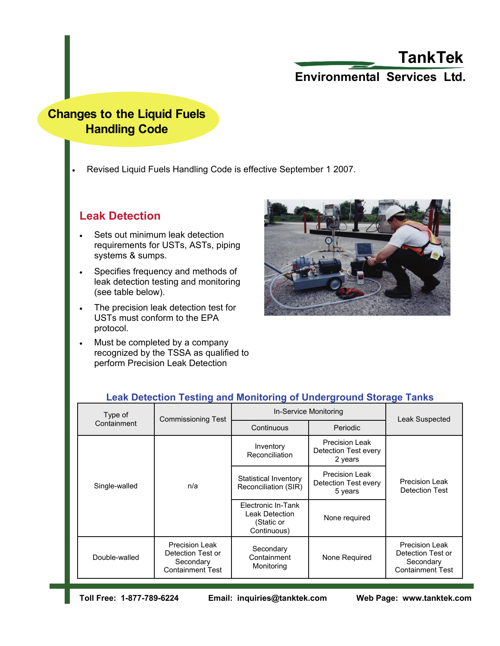# **Environmental Services Ltd. TankTek**

# **Changes to the Liquid Fuels Handling Code**

• Revised Liquid Fuels Handling Code is effective September 1 2007.

### **Leak Detection**

- Sets out minimum leak detection requirements for USTs, ASTs, piping systems & sumps.
- Specifies frequency and methods of leak detection testing and monitoring (see table below).
- The precision leak detection test for USTs must conform to the EPA protocol.
- Must be completed by a company recognized by the TSSA as qualified to perform Precision Leak Detection



| Type of<br>Containment | <b>Commissioning Test</b>                                                          | In-Service Monitoring                                             |                                                          | Leak Suspected                                                              |
|------------------------|------------------------------------------------------------------------------------|-------------------------------------------------------------------|----------------------------------------------------------|-----------------------------------------------------------------------------|
|                        |                                                                                    | Continuous                                                        | Periodic                                                 |                                                                             |
| Single-walled          | n/a                                                                                | Inventory<br>Reconciliation                                       | <b>Precision Leak</b><br>Detection Test every<br>2 years | <b>Precision Leak</b><br>Detection Test                                     |
|                        |                                                                                    | Statistical Inventory<br>Reconciliation (SIR)                     | <b>Precision Leak</b><br>Detection Test every<br>5 years |                                                                             |
|                        |                                                                                    | Electronic In-Tank<br>Leak Detection<br>(Static or<br>Continuous) | None required                                            |                                                                             |
| Double-walled          | <b>Precision Leak</b><br>Detection Test or<br>Secondary<br><b>Containment Test</b> | Secondary<br>Containment<br>Monitoring                            | None Required                                            | Precision Leak<br>Detection Test or<br>Secondary<br><b>Containment Test</b> |

### **Leak Detection Testing and Monitoring of Underground Storage Tanks**

**Toll Free: 1-877-789-6224 Email: inquiries@tanktek.com Web Page: www.tanktek.com**